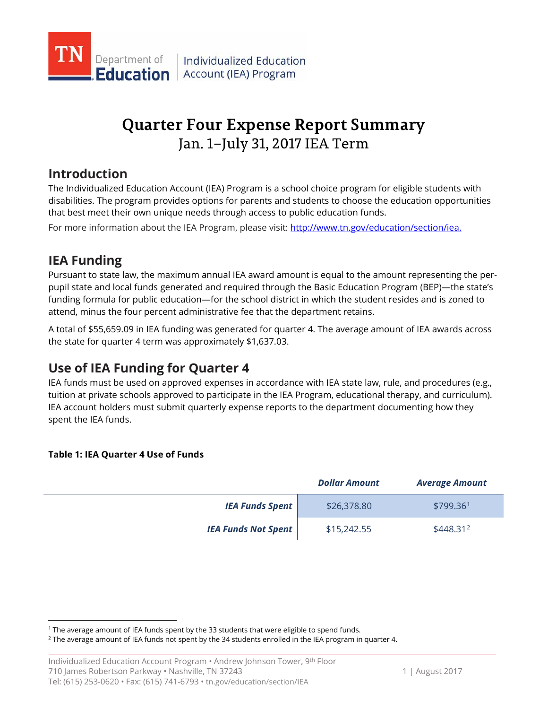

# **Quarter Four Expense Report Summary** Jan. 1–July 31, 2017 IEA Term

## **Introduction**

The Individualized Education Account (IEA) Program is a school choice program for eligible students with disabilities. The program provides options for parents and students to choose the education opportunities that best meet their own unique needs through access to public education funds.

For more information about the IEA Program, please visit: [http://www.tn.gov/education/section/iea.](http://www.tn.gov/education/section/iea) 

# **IEA Funding**

 $\overline{a}$ 

Pursuant to state law, the maximum annual IEA award amount is equal to the amount representing the perpupil state and local funds generated and required through the Basic Education Program (BEP)—the state's funding formula for public education—for the school district in which the student resides and is zoned to attend, minus the four percent administrative fee that the department retains.

A total of \$55,659.09 in IEA funding was generated for quarter 4. The average amount of IEA awards across the state for quarter 4 term was approximately \$1,637.03.

# **Use of IEA Funding for Quarter 4**

IEA funds must be used on approved expenses in accordance with IEA state law, rule, and procedures (e.g., tuition at private schools approved to participate in the IEA Program, educational therapy, and curriculum). IEA account holders must submit quarterly expense reports to the department documenting how they spent the IEA funds.

### **Table 1: IEA Quarter 4 Use of Funds**

|                            | <b>Dollar Amount</b> | <b>Average Amount</b> |
|----------------------------|----------------------|-----------------------|
| <b>IEA Funds Spent</b>     | \$26,378.80          | \$799.36 <sup>1</sup> |
| <b>IEA Funds Not Spent</b> | \$15,242.55          | \$448.31 <sup>2</sup> |

<span id="page-0-0"></span><sup>1</sup> The average amount of IEA funds spent by the 33 students that were eligible to spend funds.

<span id="page-0-1"></span> $2$  The average amount of IEA funds not spent by the 34 students enrolled in the IEA program in quarter 4.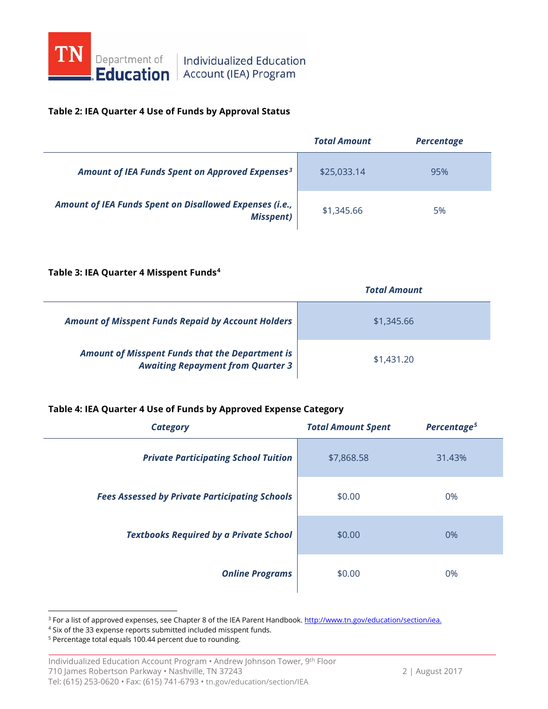

# **Education** Account (IEA) Program

### **Table 2: IEA Quarter 4 Use of Funds by Approval Status**

|                                                                             | <b>Total Amount</b> | <b>Percentage</b> |
|-----------------------------------------------------------------------------|---------------------|-------------------|
| Amount of IEA Funds Spent on Approved Expenses <sup>3</sup>                 | \$25,033.14         | 95%               |
| Amount of IEA Funds Spent on Disallowed Expenses (i.e.,<br><b>Misspent)</b> | \$1,345.66          | 5%                |

### **Table 3: IEA Quarter 4 Misspent Funds[4](#page-1-1)**

|                                                                                                    | <b>Total Amount</b> |  |
|----------------------------------------------------------------------------------------------------|---------------------|--|
| <b>Amount of Misspent Funds Repaid by Account Holders</b>                                          | \$1,345.66          |  |
| <b>Amount of Misspent Funds that the Department is</b><br><b>Awaiting Repayment from Quarter 3</b> | \$1,431,20          |  |

### **Table 4: IEA Quarter 4 Use of Funds by Approved Expense Category**

| <b>Category</b>                                       | <b>Total Amount Spent</b> | Percentage <sup>5</sup> |
|-------------------------------------------------------|---------------------------|-------------------------|
| <b>Private Participating School Tuition</b>           | \$7,868.58                | 31.43%                  |
| <b>Fees Assessed by Private Participating Schools</b> | \$0.00                    | 0%                      |
| <b>Textbooks Required by a Private School</b>         | \$0.00                    | 0%                      |
| <b>Online Programs</b>                                | \$0.00                    | 0%                      |

<span id="page-1-0"></span><sup>&</sup>lt;sup>3</sup> For a list of approved expenses, see Chapter 8 of the IEA Parent Handbook[. http://www.tn.gov/education/section/iea.](http://www.tn.gov/education/section/iea)

 $\overline{a}$ 

<span id="page-1-1"></span><sup>4</sup> Six of the 33 expense reports submitted included misspent funds.

<span id="page-1-2"></span><sup>5</sup> Percentage total equals 100.44 percent due to rounding.